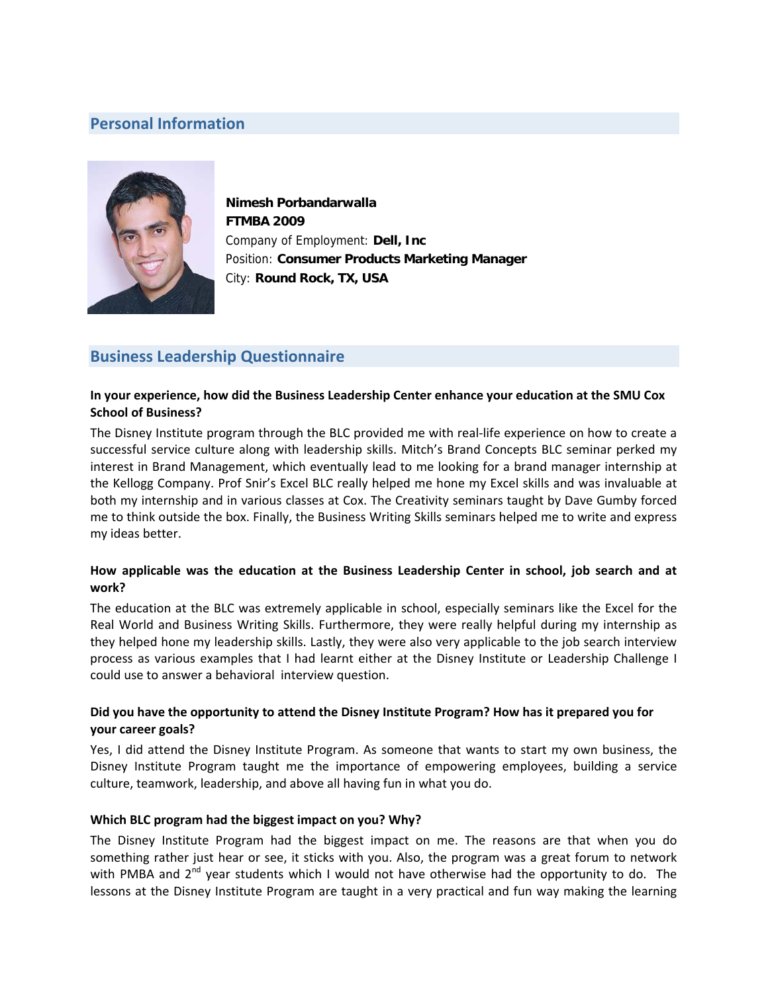# **Personal Information**



**Nimesh Porbandarwalla FTMBA 2009**  Company of Employment: **Dell, Inc** Position: **Consumer Products Marketing Manager** City: **Round Rock, TX, USA** 

# **Business Leadership Questionnaire**

### **In your experience, how did the Business Leadership Center enhance your education at the SMU Cox School of Business?**

The Disney Institute program through the BLC provided me with real‐life experience on how to create a successful service culture along with leadership skills. Mitch's Brand Concepts BLC seminar perked my interest in Brand Management, which eventually lead to me looking for a brand manager internship at the Kellogg Company. Prof Snir's Excel BLC really helped me hone my Excel skills and was invaluable at both my internship and in various classes at Cox. The Creativity seminars taught by Dave Gumby forced me to think outside the box. Finally, the Business Writing Skills seminars helped me to write and express my ideas better.

### **How applicable was the education at the Business Leadership Center in school, job search and at work?**

The education at the BLC was extremely applicable in school, especially seminars like the Excel for the Real World and Business Writing Skills. Furthermore, they were really helpful during my internship as they helped hone my leadership skills. Lastly, they were also very applicable to the job search interview process as various examples that I had learnt either at the Disney Institute or Leadership Challenge I could use to answer a behavioral interview question.

### **Did you have the opportunity to attend the Disney Institute Program? How has it prepared you for your career goals?**

Yes, I did attend the Disney Institute Program. As someone that wants to start my own business, the Disney Institute Program taught me the importance of empowering employees, building a service culture, teamwork, leadership, and above all having fun in what you do.

#### **Which BLC program had the biggest impact on you? Why?**

The Disney Institute Program had the biggest impact on me. The reasons are that when you do something rather just hear or see, it sticks with you. Also, the program was a great forum to network with PMBA and  $2<sup>nd</sup>$  year students which I would not have otherwise had the opportunity to do. The lessons at the Disney Institute Program are taught in a very practical and fun way making the learning